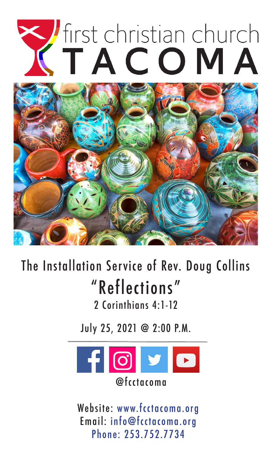# Vfirst christian church

# The Installation Service of Rev. Doug Collins "Reflections" 2 Corinthians 4:1-12

July 25, 2021 @ 2:00 P.M.



Website: www.fcctacoma.org Email: info@fcctacoma.org Phone: 253.752.7734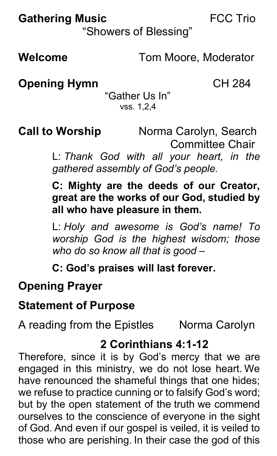# **Gathering Music** FCC Trio

"Showers of Blessing"

**Welcome** Tom Moore, Moderator

**Opening Hymn** CH 284

"Gather Us In" vss. 1,2,4

**Call to Worship** Norma Carolyn, Search

Committee Chair

L: *Thank God with all your heart, in the gathered assembly of God's people.*

**C: Mighty are the deeds of our Creator, great are the works of our God, studied by all who have pleasure in them.**

L: *Holy and awesome is God's name! To worship God is the highest wisdom; those who do so know all that is good –*

**C: God's praises will last forever.**

# **Opening Prayer**

## **Statement of Purpose**

A reading from the Epistles Norma Carolyn

# **2 Corinthians 4:1-12**

Therefore, since it is by God's mercy that we are engaged in this ministry, we do not lose heart. We have renounced the shameful things that one hides; we refuse to practice cunning or to falsify God's word; but by the open statement of the truth we commend ourselves to the conscience of everyone in the sight of God. And even if our gospel is veiled, it is veiled to those who are perishing. In their case the god of this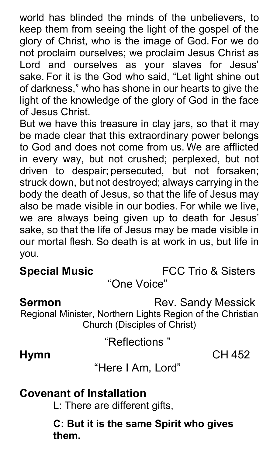world has blinded the minds of the unbelievers, to keep them from seeing the light of the gospel of the glory of Christ, who is the image of God. For we do not proclaim ourselves; we proclaim Jesus Christ as Lord and ourselves as your slaves for Jesus' sake. For it is the God who said, "Let light shine out of darkness," who has shone in our hearts to give the light of the knowledge of the glory of God in the face of Jesus Christ.

But we have this treasure in clay jars, so that it may be made clear that this extraordinary power belongs to God and does not come from us. We are afflicted in every way, but not crushed; perplexed, but not driven to despair; persecuted, but not forsaken; struck down, but not destroyed; always carrying in the body the death of Jesus, so that the life of Jesus may also be made visible in our bodies. For while we live, we are always being given up to death for Jesus' sake, so that the life of Jesus may be made visible in our mortal flesh. So death is at work in us, but life in you.

**Special Music** FCC Trio & Sisters

"One Voice"

**Sermon** Rev. Sandy Messick

Regional Minister, Northern Lights Region of the Christian Church (Disciples of Christ)

"Reflections "

**Hymn** CH 452

"Here I Am, Lord"

### **Covenant of Installation**

L: There are different gifts,

**C: But it is the same Spirit who gives them.**